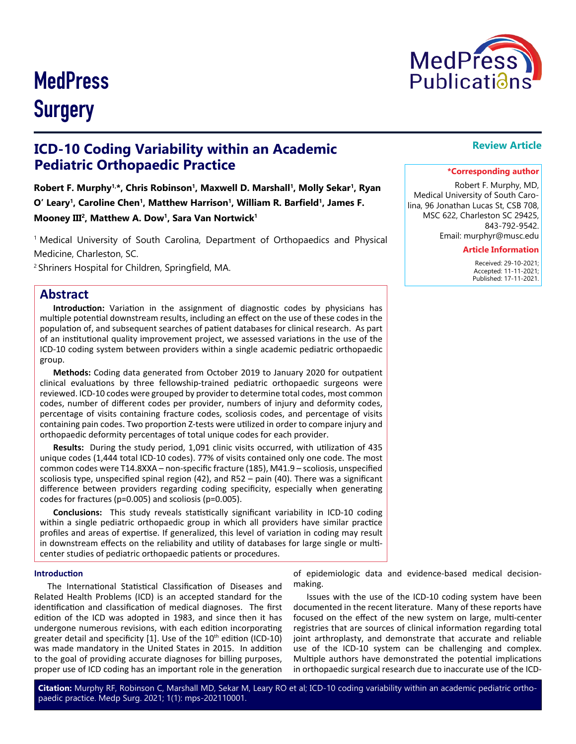# **MedPress** Publicatians

# **MedPress Surgery**

## **ICD-10 Coding Variability within an Academic Pediatric Orthopaedic Practice**

Robert F. Murphy<sup>1,\*</sup>, Chris Robinson<sup>1</sup>, Maxwell D. Marshall<sup>1</sup>, Molly Sekar<sup>1</sup>, Ryan **O' Leary1, Caroline Chen1, Matthew Harrison1, William R. Barfield1, James F.**  Mooney III<sup>2</sup>, Matthew A. Dow<sup>1</sup>, Sara Van Nortwick<sup>1</sup>

1 Medical University of South Carolina, Department of Orthopaedics and Physical Medicine, Charleston, SC.

<sup>2</sup>Shriners Hospital for Children, Springfield, MA.

### **Abstract**

**Introduction:** Variation in the assignment of diagnostic codes by physicians has multiple potential downstream results, including an effect on the use of these codes in the population of, and subsequent searches of patient databases for clinical research. As part of an institutional quality improvement project, we assessed variations in the use of the ICD-10 coding system between providers within a single academic pediatric orthopaedic group.

**Methods:** Coding data generated from October 2019 to January 2020 for outpatient clinical evaluations by three fellowship-trained pediatric orthopaedic surgeons were reviewed. ICD-10 codes were grouped by provider to determine total codes, most common codes, number of different codes per provider, numbers of injury and deformity codes, percentage of visits containing fracture codes, scoliosis codes, and percentage of visits containing pain codes. Two proportion Z-tests were utilized in order to compare injury and orthopaedic deformity percentages of total unique codes for each provider.

**Results:** During the study period, 1,091 clinic visits occurred, with utilization of 435 unique codes (1,444 total ICD-10 codes). 77% of visits contained only one code. The most common codes were T14.8XXA – non-specific fracture (185), M41.9 – scoliosis, unspecified scoliosis type, unspecified spinal region (42), and R52 – pain (40). There was a significant difference between providers regarding coding specificity, especially when generating codes for fractures (p=0.005) and scoliosis (p=0.005).

**Conclusions:** This study reveals statistically significant variability in ICD-10 coding within a single pediatric orthopaedic group in which all providers have similar practice profiles and areas of expertise. If generalized, this level of variation in coding may result in downstream effects on the reliability and utility of databases for large single or multicenter studies of pediatric orthopaedic patients or procedures.

#### **Introduction**

The International Statistical Classification of Diseases and Related Health Problems (ICD) is an accepted standard for the identification and classification of medical diagnoses. The first edition of the ICD was adopted in 1983, and since then it has undergone numerous revisions, with each edition incorporating greater detail and specificity  $[1]$ . Use of the  $10<sup>th</sup>$  edition (ICD-10) was made mandatory in the United States in 2015. In addition to the goal of providing accurate diagnoses for billing purposes, proper use of ICD coding has an important role in the generation

of epidemiologic data and evidence-based medical decisionmaking.

Issues with the use of the ICD-10 coding system have been documented in the recent literature. Many of these reports have focused on the effect of the new system on large, multi-center registries that are sources of clinical information regarding total joint arthroplasty, and demonstrate that accurate and reliable use of the ICD-10 system can be challenging and complex. Multiple authors have demonstrated the potential implications in orthopaedic surgical research due to inaccurate use of the ICD-

**Citation:** Murphy RF, Robinson C, Marshall MD, Sekar M, Leary RO et al; ICD-10 coding variability within an academic pediatric orthopaedic practice. Medp Surg. 2021; 1(1): mps-202110001.

### **Review Article**

#### **\*Corresponding author**

Robert F. Murphy, MD, Medical University of South Carolina, 96 Jonathan Lucas St, CSB 708, MSC 622, Charleston SC 29425, 843-792-9542. Email: murphyr@musc.edu

#### **Article Information**

 Received: 29-10-2021; Accepted: 11-11-2021; Published: 17-11-2021.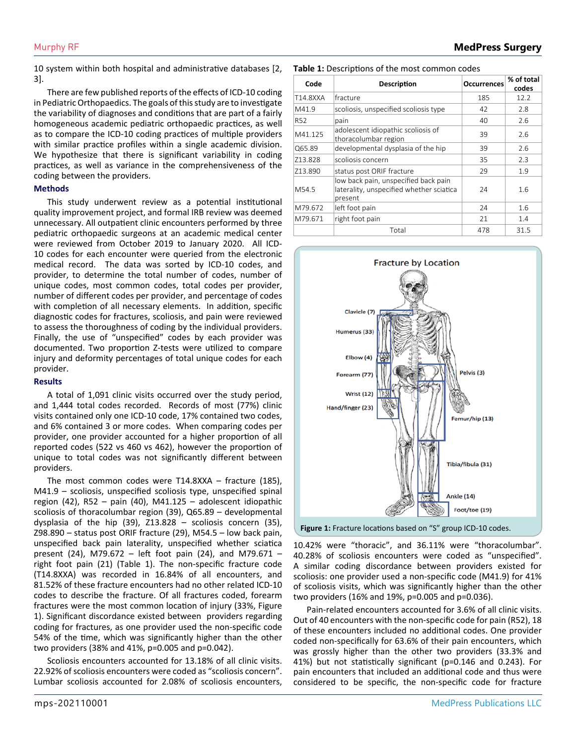10 system within both hospital and administrative databases [2, 3].

There are few published reports of the effects of ICD-10 coding in Pediatric Orthopaedics. The goals of this study are to investigate the variability of diagnoses and conditions that are part of a fairly homogeneous academic pediatric orthopaedic practices, as well as to compare the ICD-10 coding practices of multiple providers with similar practice profiles within a single academic division. We hypothesize that there is significant variability in coding practices, as well as variance in the comprehensiveness of the coding between the providers.

#### **Methods**

This study underwent review as a potential institutional quality improvement project, and formal IRB review was deemed unnecessary. All outpatient clinic encounters performed by three pediatric orthopaedic surgeons at an academic medical center were reviewed from October 2019 to January 2020. All ICD-10 codes for each encounter were queried from the electronic medical record. The data was sorted by ICD-10 codes, and provider, to determine the total number of codes, number of unique codes, most common codes, total codes per provider, number of different codes per provider, and percentage of codes with completion of all necessary elements. In addition, specific diagnostic codes for fractures, scoliosis, and pain were reviewed to assess the thoroughness of coding by the individual providers. Finally, the use of "unspecified" codes by each provider was documented. Two proportion Z-tests were utilized to compare injury and deformity percentages of total unique codes for each provider.

#### **Results**

A total of 1,091 clinic visits occurred over the study period, and 1,444 total codes recorded. Records of most (77%) clinic visits contained only one ICD-10 code, 17% contained two codes, and 6% contained 3 or more codes. When comparing codes per provider, one provider accounted for a higher proportion of all reported codes (522 vs 460 vs 462), however the proportion of unique to total codes was not significantly different between providers.

The most common codes were T14.8XXA – fracture (185), M41.9 – scoliosis, unspecified scoliosis type, unspecified spinal region (42), R52 – pain (40), M41.125 – adolescent idiopathic scoliosis of thoracolumbar region (39), Q65.89 – developmental dysplasia of the hip (39), Z13.828 – scoliosis concern (35), Z98.890 – status post ORIF fracture (29), M54.5 – low back pain, unspecified back pain laterality, unspecified whether sciatica present (24), M79.672 – left foot pain (24), and M79.671 – right foot pain (21) (Table 1). The non-specific fracture code (T14.8XXA) was recorded in 16.84% of all encounters, and 81.52% of these fracture encounters had no other related ICD-10 codes to describe the fracture. Of all fractures coded, forearm fractures were the most common location of injury (33%, Figure 1). Significant discordance existed between providers regarding coding for fractures, as one provider used the non-specific code 54% of the time, which was significantly higher than the other two providers (38% and 41%, p=0.005 and p=0.042).

Scoliosis encounters accounted for 13.18% of all clinic visits. 22.92% of scoliosis encounters were coded as "scoliosis concern". Lumbar scoliosis accounted for 2.08% of scoliosis encounters,

#### **Table 1:** Descriptions of the most common codes

| Code            | Description                                                                                 | <b>Occurrences</b> | % of total<br>codes |
|-----------------|---------------------------------------------------------------------------------------------|--------------------|---------------------|
| T14.8XXA        | fracture                                                                                    | 185                | 12.2                |
| M41.9           | scoliosis, unspecified scoliosis type                                                       | 42                 | 2.8                 |
| R <sub>52</sub> | pain                                                                                        | 40                 | 2.6                 |
| M41.125         | adolescent idiopathic scoliosis of<br>thoracolumbar region                                  | 39                 | 2.6                 |
| Q65.89          | developmental dysplasia of the hip                                                          | 39                 | 2.6                 |
| 713.828         | scoliosis concern                                                                           | 35                 | 2.3                 |
| Z13.890         | status post ORIF fracture                                                                   | 29                 | 1.9                 |
| M54.5           | low back pain, unspecified back pain<br>laterality, unspecified whether sciatica<br>present | 24                 | 1.6                 |
| M79.672         | left foot pain                                                                              | 24                 | 1.6                 |
| M79.671         | right foot pain                                                                             | 21                 | 1.4                 |
|                 | Total                                                                                       | 478                | 31.5                |



**Figure 1:** Fracture locations based on "S" group ICD-10 codes.

10.42% were "thoracic", and 36.11% were "thoracolumbar". 40.28% of scoliosis encounters were coded as "unspecified". A similar coding discordance between providers existed for scoliosis: one provider used a non-specific code (M41.9) for 41% of scoliosis visits, which was significantly higher than the other two providers (16% and 19%, p=0.005 and p=0.036).

Pain-related encounters accounted for 3.6% of all clinic visits. Out of 40 encounters with the non-specific code for pain (R52), 18 of these encounters included no additional codes. One provider coded non-specifically for 63.6% of their pain encounters, which was grossly higher than the other two providers (33.3% and 41%) but not statistically significant (p=0.146 and 0.243). For pain encounters that included an additional code and thus were considered to be specific, the non-specific code for fracture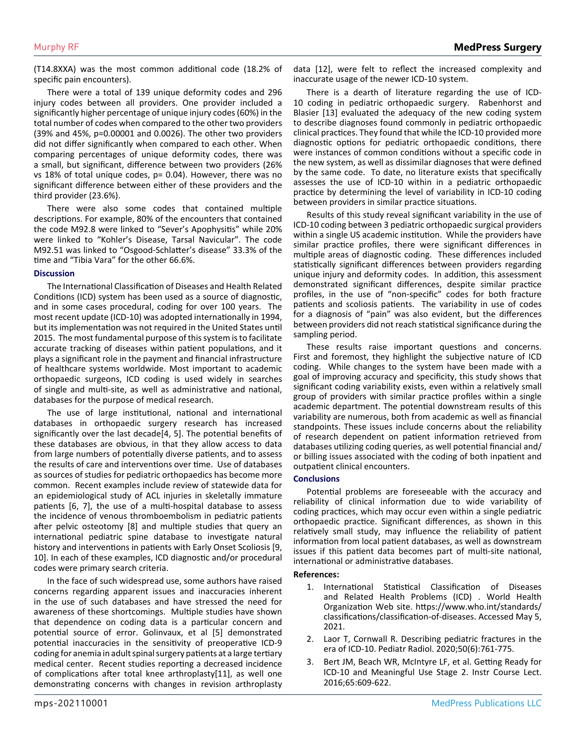(T14.8XXA) was the most common additional code (18.2% of specific pain encounters).

There were a total of 139 unique deformity codes and 296 injury codes between all providers. One provider included a significantly higher percentage of unique injury codes (60%) in the total number of codes when compared to the other two providers (39% and 45%, p=0.00001 and 0.0026). The other two providers did not differ significantly when compared to each other. When comparing percentages of unique deformity codes, there was a small, but significant, difference between two providers (26% vs 18% of total unique codes, p= 0.04). However, there was no significant difference between either of these providers and the third provider (23.6%).

There were also some codes that contained multiple descriptions. For example, 80% of the encounters that contained the code M92.8 were linked to "Sever's Apophysitis" while 20% were linked to "Kohler's Disease, Tarsal Navicular". The code M92.51 was linked to "Osgood-Schlatter's disease" 33.3% of the time and "Tibia Vara" for the other 66.6%.

#### **Discussion**

The International Classification of Diseases and Health Related Conditions (ICD) system has been used as a source of diagnostic, and in some cases procedural, coding for over 100 years. The most recent update (ICD-10) was adopted internationally in 1994, but its implementation was not required in the United States until 2015. The most fundamental purpose of this system is to facilitate accurate tracking of diseases within patient populations, and it plays a significant role in the payment and financial infrastructure of healthcare systems worldwide. Most important to academic orthopaedic surgeons, ICD coding is used widely in searches of single and multi-site, as well as administrative and national, databases for the purpose of medical research.

The use of large institutional, national and international databases in orthopaedic surgery research has increased significantly over the last decade[4, 5]. The potential benefits of these databases are obvious, in that they allow access to data from large numbers of potentially diverse patients, and to assess the results of care and interventions over time. Use of databases as sources of studies for pediatric orthopaedics has become more common. Recent examples include review of statewide data for an epidemiological study of ACL injuries in skeletally immature patients [6, 7], the use of a multi-hospital database to assess the incidence of venous thromboembolism in pediatric patients after pelvic osteotomy [8] and multiple studies that query an international pediatric spine database to investigate natural history and interventions in patients with Early Onset Scoliosis [9, 10]. In each of these examples, ICD diagnostic and/or procedural codes were primary search criteria.

In the face of such widespread use, some authors have raised concerns regarding apparent issues and inaccuracies inherent in the use of such databases and have stressed the need for awareness of these shortcomings. Multiple studies have shown that dependence on coding data is a particular concern and potential source of error. Golinvaux, et al [5] demonstrated potential inaccuracies in the sensitivity of preoperative ICD-9 coding for anemia in adult spinal surgery patients at a large tertiary medical center. Recent studies reporting a decreased incidence of complications after total knee arthroplasty[11], as well one demonstrating concerns with changes in revision arthroplasty

mps-202110001

data [12], were felt to reflect the increased complexity and inaccurate usage of the newer ICD-10 system.

| There is a dearth of literature regarding the use of ICD-          |  |  |  |  |
|--------------------------------------------------------------------|--|--|--|--|
| 10 coding in pediatric orthopaedic surgery. Rabenhorst and         |  |  |  |  |
| Blasier [13] evaluated the adequacy of the new coding system       |  |  |  |  |
| to describe diagnoses found commonly in pediatric orthopaedic      |  |  |  |  |
| clinical practices. They found that while the ICD-10 provided more |  |  |  |  |
| diagnostic options for pediatric orthopaedic conditions, there     |  |  |  |  |
| were instances of common conditions without a specific code in     |  |  |  |  |
| the new system, as well as dissimilar diagnoses that were defined  |  |  |  |  |
| by the same code. To date, no literature exists that specifically  |  |  |  |  |
| assesses the use of ICD-10 within in a pediatric orthopaedic       |  |  |  |  |
| practice by determining the level of variability in ICD-10 coding  |  |  |  |  |
| between providers in similar practice situations.                  |  |  |  |  |

Results of this study reveal significant variability in the use of ICD-10 coding between 3 pediatric orthopaedic surgical providers within a single US academic institution. While the providers have similar practice profiles, there were significant differences in multiple areas of diagnostic coding. These differences included statistically significant differences between providers regarding unique injury and deformity codes. In addition, this assessment demonstrated significant differences, despite similar practice profiles, in the use of "non-specific" codes for both fracture patients and scoliosis patients. The variability in use of codes for a diagnosis of "pain" was also evident, but the differences between providers did not reach statistical significance during the sampling period.

These results raise important questions and concerns. First and foremost, they highlight the subjective nature of ICD coding. While changes to the system have been made with a goal of improving accuracy and specificity, this study shows that significant coding variability exists, even within a relatively small group of providers with similar practice profiles within a single academic department. The potential downstream results of this variability are numerous, both from academic as well as financial standpoints. These issues include concerns about the reliability of research dependent on patient information retrieved from databases utilizing coding queries, as well potential financial and/ or billing issues associated with the coding of both inpatient and outpatient clinical encounters.

#### **Conclusions**

Potential problems are foreseeable with the accuracy and reliability of clinical information due to wide variability of coding practices, which may occur even within a single pediatric orthopaedic practice. Significant differences, as shown in this relatively small study, may influence the reliability of patient information from local patient databases, as well as downstream issues if this patient data becomes part of multi-site national, international or administrative databases.

#### **References:**

- 1. International Statistical Classification of Diseases and Related Health Problems (ICD) . World Health Organization Web site. https://www.who.int/standards/ classifications/classification-of-diseases. Accessed May 5, 2021.
- 2. [Laor T, Cornwall R. Describing pediatric fractures in the](https://pubmed.ncbi.nlm.nih.gov/31915858/)  [era of ICD-10. Pediatr Radiol. 2020;50\(6\):761-775.](https://pubmed.ncbi.nlm.nih.gov/31915858/)
- 3. [Bert JM, Beach WR, McIntyre LF, et al. Getting Ready for](https://pubmed.ncbi.nlm.nih.gov/27049227/)  [ICD-10 and Meaningful Use Stage 2. Instr Course Lect.](https://pubmed.ncbi.nlm.nih.gov/27049227/)  [2016;65:609-622.](https://pubmed.ncbi.nlm.nih.gov/27049227/)